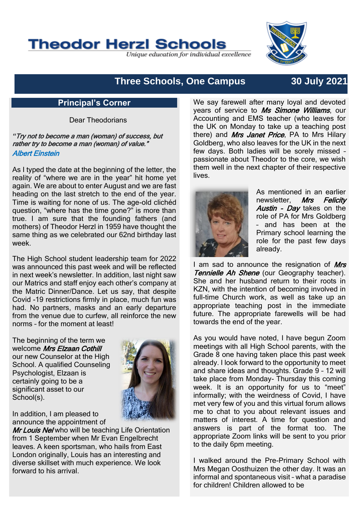# **Theodor Herzl Schools**

Unique education for individual excellence

## **Three Schools, One Campus 30 July 2021**

## **Principal's Corner**

Dear Theodorians

*"*Try not to become a man (woman) of success, but rather try to become a man (woman) of value." Albert Einstein

As I typed the date at the beginning of the letter, the reality of "where we are in the year" hit home yet again. We are about to enter August and we are fast heading on the last stretch to the end of the year. Time is waiting for none of us. The age-old clichéd question, "where has the time gone?" is more than true. I am sure that the founding fathers (and mothers) of Theodor Herzl in 1959 have thought the same thing as we celebrated our 62nd birthday last week.

The High School student leadership team for 2022 was announced this past week and will be reflected in next week's newsletter. In addition, last night saw our Matrics and staff enjoy each other's company at the Matric Dinner/Dance. Let us say, that despite Covid -19 restrictions firmly in place, much fun was had. No partners, masks and an early departure from the venue due to curfew, all reinforce the new norms – for the moment at least!

The beginning of the term we welcome Mrs Elzaan Cothill our new Counselor at the High School. A qualified Counseling Psychologist, Elzaan is certainly going to be a significant asset to our School(s).



In addition, I am pleased to announce the appointment of

Mr Louis Nel who will be teaching Life Orientation from 1 September when Mr Evan Engelbrecht leaves. A keen sportsman, who hails from East London originally, Louis has an interesting and diverse skillset with much experience. We look forward to his arrival.

We say farewell after many loyal and devoted years of service to Ms Simone Williams, our Accounting and EMS teacher (who leaves for the UK on Monday to take up a teaching post there) and *Mrs Janet Price*, PA to Mrs Hilary Goldberg, who also leaves for the UK in the next few days. Both ladies will be sorely missed – passionate about Theodor to the core, we wish them well in the next chapter of their respective **lives** 



As mentioned in an earlier newsletter. Mrs Felicity Austin - Dav takes on the role of PA for Mrs Goldberg – and has been at the Primary school learning the role for the past few days already.

I am sad to announce the resignation of Mrs **Tennielle Ah Shene** (our Geography teacher). She and her husband return to their roots in KZN, with the intention of becoming involved in full-time Church work, as well as take up an appropriate teaching post in the immediate future. The appropriate farewells will be had towards the end of the year.

As you would have noted, I have begun Zoom meetings with all High School parents, with the Grade 8 one having taken place this past week already. I look forward to the opportunity to meet and share ideas and thoughts. Grade 9 – 12 will take place from Monday- Thursday this coming week. It is an opportunity for us to "meet" informally; with the weirdness of Covid, I have met very few of you and this virtual forum allows me to chat to you about relevant issues and matters of interest. A time for question and answers is part of the format too. The appropriate Zoom links will be sent to you prior to the daily 6pm meeting.

I walked around the Pre-Primary School with Mrs Megan Oosthuizen the other day. It was an informal and spontaneous visit – what a paradise for children! Children allowed to be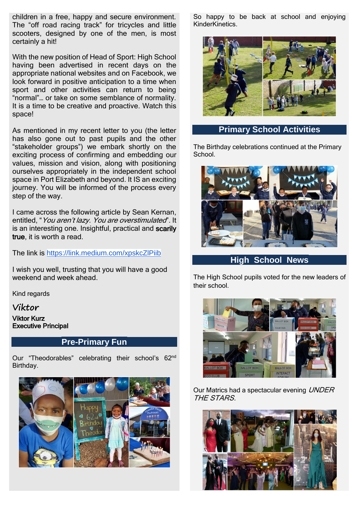children in a free, happy and secure environment. The "off road racing track" for tricycles and little scooters, designed by one of the men, is most certainly a hit!

With the new position of Head of Sport: High School having been advertised in recent days on the appropriate national websites and on Facebook, we look forward in positive anticipation to a time when sport and other activities can return to being "normal"… or take on some semblance of normality. It is a time to be creative and proactive. Watch this space!

As mentioned in my recent letter to you (the letter has also gone out to past pupils and the other "stakeholder groups") we embark shortly on the exciting process of confirming and embedding our values, mission and vision, along with positioning ourselves appropriately in the independent school space in Port Elizabeth and beyond. It IS an exciting journey. You will be informed of the process every step of the way.

I came across the following article by Sean Kernan, entitled, "You aren't lazy. You are overstimulated". It is an interesting one. Insightful, practical and scarily true, it is worth a read.

The link is <https://link.medium.com/xpskcZlPiib>

I wish you well, trusting that you will have a good weekend and week ahead.

Kind regards

**Viktor**

Viktor Kurz Executive Principal

## **Pre-Primary Fun**

Our "Theodorables" celebrating their school's 62<sup>nd</sup> Birthday.



So happy to be back at school and enjoying KinderKinetics.



### **Primary School Activities**

The Birthday celebrations continued at the Primary School.



**High School News**

The High School pupils voted for the new leaders of their school.



Our Matrics had a spectacular evening UNDER THE STARS.